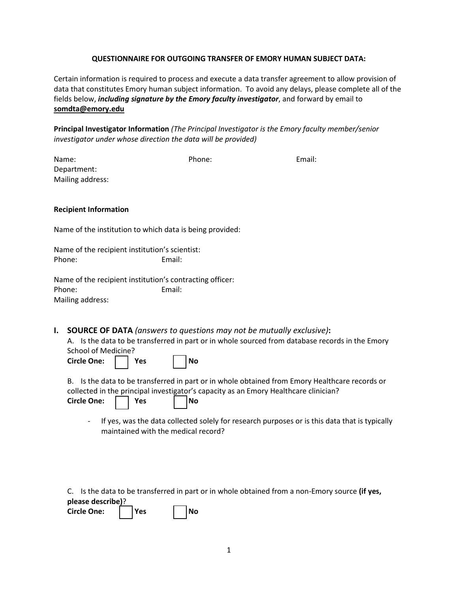## **QUESTIONNAIRE FOR OUTGOING TRANSFER OF EMORY HUMAN SUBJECT DATA:**

Certain information is required to process and execute a data transfer agreement to allow provision of data that constitutes Emory human subject information. To avoid any delays, please complete all of the fields below, *including signature by the Emory faculty investigator*, and forward by email to **somdta@emory.edu**

**Principal Investigator Information** *(The Principal Investigator is the Emory faculty member/senior investigator under whose direction the data will be provided)*

| Name:<br>Department:                                     | Phone: | Email:                                                                             |
|----------------------------------------------------------|--------|------------------------------------------------------------------------------------|
| Mailing address:                                         |        |                                                                                    |
|                                                          |        |                                                                                    |
| <b>Recipient Information</b>                             |        |                                                                                    |
| Name of the institution to which data is being provided: |        |                                                                                    |
| Name of the recipient institution's scientist:           |        |                                                                                    |
| Phone:                                                   | Email: |                                                                                    |
| Name of the recipient institution's contracting officer: |        |                                                                                    |
| Phone:                                                   | Email: |                                                                                    |
| Mailing address:                                         |        |                                                                                    |
|                                                          |        |                                                                                    |
| $\mathbf{I}$                                             |        | <b>COLIDCE OF DATA</b> <i>(ancwers to questions may not be mutually exclusive)</i> |

**I. SOURCE OF DATA** *(answers to questions may not be mutually exclusive)***:**

A. Is the data to be transferred in part or in whole sourced from database records in the Emory School of Medicine?

Circle One:  $\vert$  | Yes | | No

B. Is the data to be transferred in part or in whole obtained from Emory Healthcare records or collected in the principal investigator's capacity as an Emory Healthcare clinician?

| Circle One: | Yes |  | l No |
|-------------|-----|--|------|
|             |     |  |      |

- If yes, was the data collected solely for research purposes or is this data that is typically maintained with the medical record?

C. Is the data to be transferred in part or in whole obtained from a non-Emory source **(if yes, please describe)**?

| Circle One: |  | l Yes |  | l No |
|-------------|--|-------|--|------|
|-------------|--|-------|--|------|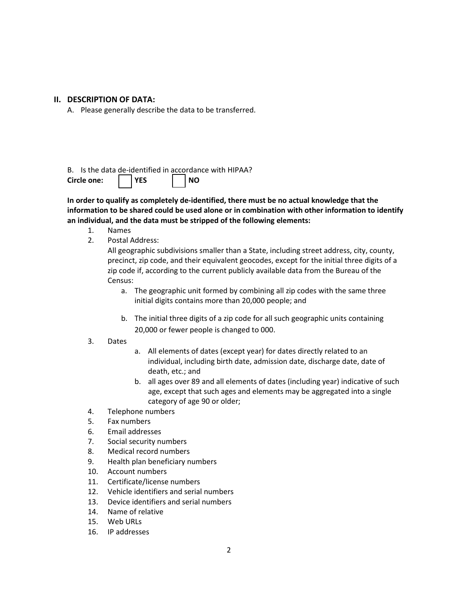## **II. DESCRIPTION OF DATA:**

A. Please generally describe the data to be transferred.

## B. Is the data de-identified in accordance with HIPAA? Circle one:  $\vert$  | YES | | NO

# **In order to qualify as completely de-identified, there must be no actual knowledge that the information to be shared could be used alone or in combination with other information to identify an individual, and the data must be stripped of the following elements:**

- 1. Names
- 2. Postal Address:

All geographic subdivisions smaller than a State, including street address, city, county, precinct, zip code, and their equivalent geocodes, except for the initial three digits of a zip code if, according to the current publicly available data from the Bureau of the Census:

- a. The geographic unit formed by combining all zip codes with the same three initial digits contains more than 20,000 people; and
- b. The initial three digits of a zip code for all such geographic units containing 20,000 or fewer people is changed to 000.

#### 3. Dates

- a. All elements of dates (except year) for dates directly related to an individual, including birth date, admission date, discharge date, date of death, etc.; and
- b. all ages over 89 and all elements of dates (including year) indicative of such age, except that such ages and elements may be aggregated into a single category of age 90 or older;
- 4. Telephone numbers
- 5. Fax numbers
- 6. Email addresses
- 7. Social security numbers
- 8. Medical record numbers
- 9. Health plan beneficiary numbers
- 10. Account numbers
- 11. Certificate/license numbers
- 12. Vehicle identifiers and serial numbers
- 13. Device identifiers and serial numbers
- 14. Name of relative
- 15. Web URLs
- 16. IP addresses